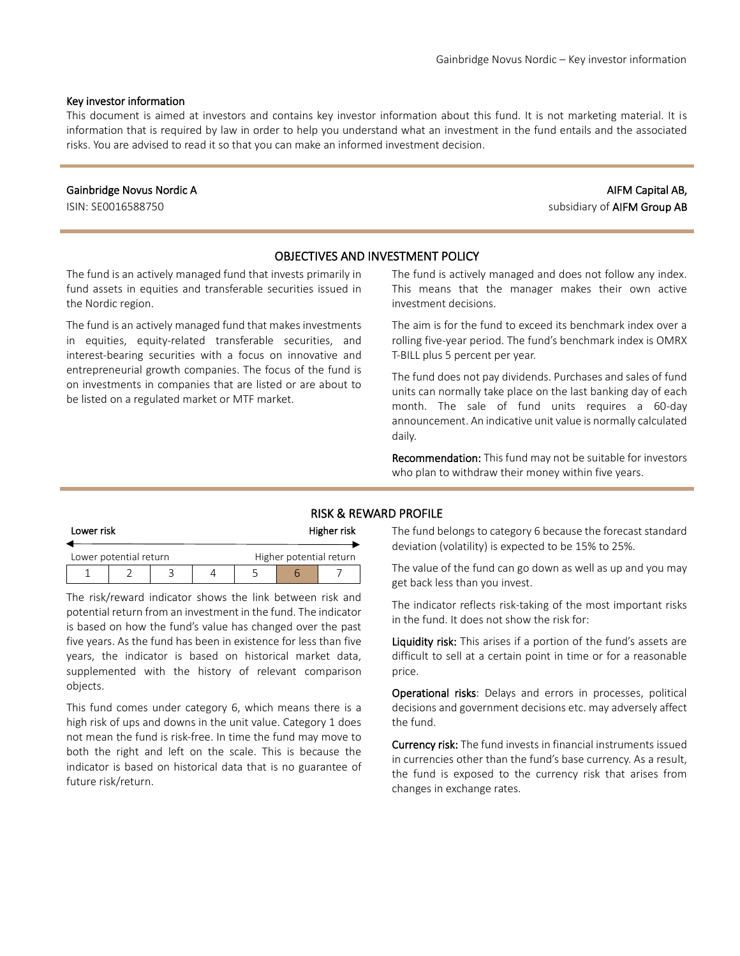#### Key investor information

This document is aimed at investors and contains key investor information about this fund. It is not marketing material. It is information that is required by law in order to help you understand what an investment in the fund entails and the associated risks. You are advised to read it so that you can make an informed investment decision.

#### Gainbridge Novus Nordic A

ISIN: SE0016588750

# AIFM Capital AB, subsidiary of AIFM Group AB

## OBJECTIVES AND INVESTMENT POLICY

The fund is an actively managed fund that invests primarily in fund assets in equities and transferable securities issued in the Nordic region.

The fund is an actively managed fund that makes investments in equities, equity-related transferable securities, and interest-bearing securities with a focus on innovative and entrepreneurial growth companies. The focus of the fund is on investments in companies that are listed or are about to be listed on a regulated market or MTF market.

The fund is actively managed and does not follow any index. This means that the manager makes their own active investment decisions.

The aim is for the fund to exceed its benchmark index over a rolling five-year period. The fund's benchmark index is OMRX T-BILL plus 5 percent per year.

The fund does not pay dividends. Purchases and sales of fund units can normally take place on the last banking day of each month. The sale of fund units requires a 60-day announcement. An indicative unit value is normally calculated daily.

Recommendation: This fund may not be suitable for investors who plan to withdraw their money within five years.

#### RISK & REWARD PROFILE

| Lower risk |                        |  | Higher risk |  |                         |  |
|------------|------------------------|--|-------------|--|-------------------------|--|
|            | Lower potential return |  |             |  | Higher potential return |  |
|            |                        |  |             |  |                         |  |

The risk/reward indicator shows the link between risk and potential return from an investment in the fund. The indicator is based on how the fund's value has changed over the past five years. As the fund has been in existence for less than five years, the indicator is based on historical market data, supplemented with the history of relevant comparison objects.

This fund comes under category 6, which means there is a high risk of ups and downs in the unit value. Category 1 does not mean the fund is risk-free. In time the fund may move to both the right and left on the scale. This is because the indicator is based on historical data that is no guarantee of future risk/return.

The fund belongs to category 6 because the forecast standard deviation (volatility) is expected to be 15% to 25%.

The value of the fund can go down as well as up and you may get back less than you invest.

The indicator reflects risk-taking of the most important risks in the fund. It does not show the risk for:

Liquidity risk: This arises if a portion of the fund's assets are difficult to sell at a certain point in time or for a reasonable price.

Operational risks: Delays and errors in processes, political decisions and government decisions etc. may adversely affect the fund.

Currency risk: The fund invests in financial instruments issued in currencies other than the fund's base currency. As a result, the fund is exposed to the currency risk that arises from changes in exchange rates.